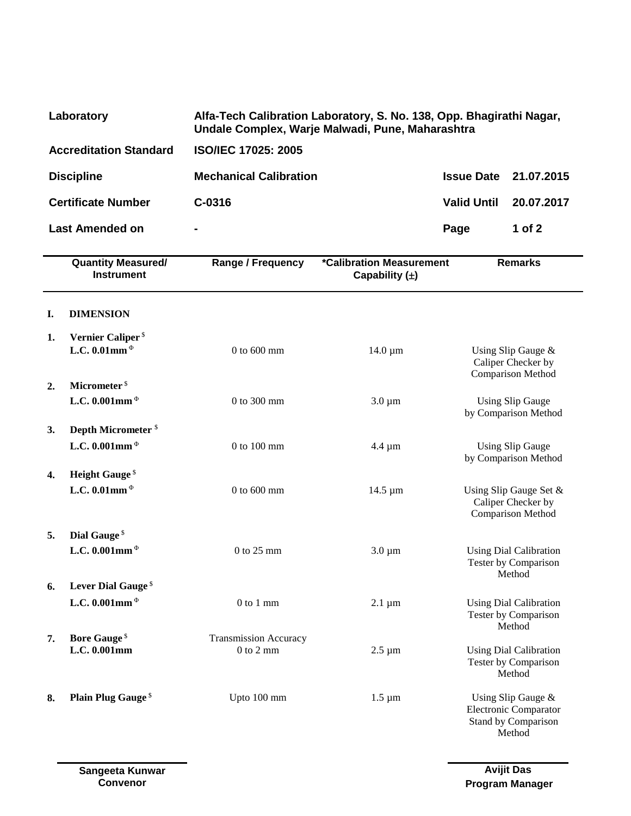| Laboratory                    | Alfa-Tech Calibration Laboratory, S. No. 138, Opp. Bhagirathi Nagar,<br>Undale Complex, Warje Malwadi, Pune, Maharashtra |                              |            |
|-------------------------------|--------------------------------------------------------------------------------------------------------------------------|------------------------------|------------|
| <b>Accreditation Standard</b> | <b>ISO/IEC 17025: 2005</b>                                                                                               |                              |            |
| <b>Discipline</b>             | <b>Mechanical Calibration</b>                                                                                            | <b>Issue Date 21.07.2015</b> |            |
| <b>Certificate Number</b>     | $C-0316$                                                                                                                 | <b>Valid Until</b>           | 20.07.2017 |
| <b>Last Amended on</b>        | $\blacksquare$                                                                                                           | Page                         | 1 of 2     |

|    | <b>Quantity Measured/</b><br><b>Instrument</b> | <b>Range / Frequency</b>     | *Calibration Measurement<br>Capability $(\pm)$ | <b>Remarks</b>                                                                      |
|----|------------------------------------------------|------------------------------|------------------------------------------------|-------------------------------------------------------------------------------------|
| I. | <b>DIMENSION</b>                               |                              |                                                |                                                                                     |
| 1. | Vernier Caliper <sup>\$</sup>                  |                              |                                                |                                                                                     |
|    | L.C. 0.01mm $\Phi$                             | $0$ to $600$ mm              | $14.0 \mu m$                                   | Using Slip Gauge &<br>Caliper Checker by<br>Comparison Method                       |
| 2. | Micrometer <sup>\$</sup>                       |                              |                                                |                                                                                     |
|    | L.C. 0.001mm $\Phi$                            | 0 to 300 mm                  | $3.0 \mu m$                                    | <b>Using Slip Gauge</b><br>by Comparison Method                                     |
| 3. | Depth Micrometer <sup>\$</sup>                 |                              |                                                |                                                                                     |
|    | L.C. 0.001mm $\Phi$                            | $0$ to $100$ mm              | $4.4 \mu m$                                    | <b>Using Slip Gauge</b><br>by Comparison Method                                     |
| 4. | <b>Height Gauge</b> <sup>\$</sup>              |                              |                                                |                                                                                     |
|    | L.C. 0.01mm $\Phi$                             | $0$ to $600$ mm              | 14.5 µm                                        | Using Slip Gauge Set &<br>Caliper Checker by<br>Comparison Method                   |
| 5. | Dial Gauge <sup>\$</sup>                       |                              |                                                |                                                                                     |
|    | L.C. 0.001mm $\Phi$                            | $0$ to $25$ mm               | $3.0 \mu m$                                    | <b>Using Dial Calibration</b><br>Tester by Comparison<br>Method                     |
| 6. | Lever Dial Gauge <sup>\$</sup>                 |                              |                                                |                                                                                     |
|    | L.C. 0.001mm $\Phi$                            | $0$ to $1$ mm                | $2.1 \mu m$                                    | <b>Using Dial Calibration</b><br>Tester by Comparison<br>Method                     |
| 7. | <b>Bore Gauge</b> <sup>\$</sup>                | <b>Transmission Accuracy</b> |                                                |                                                                                     |
|    | L.C. 0.001mm                                   | $0$ to $2$ mm                | $2.5 \mu m$                                    | <b>Using Dial Calibration</b><br>Tester by Comparison<br>Method                     |
| 8. | <b>Plain Plug Gauge</b> <sup>\$</sup>          | Upto 100 mm                  | $1.5 \mu m$                                    | Using Slip Gauge &<br><b>Electronic Comparator</b><br>Stand by Comparison<br>Method |